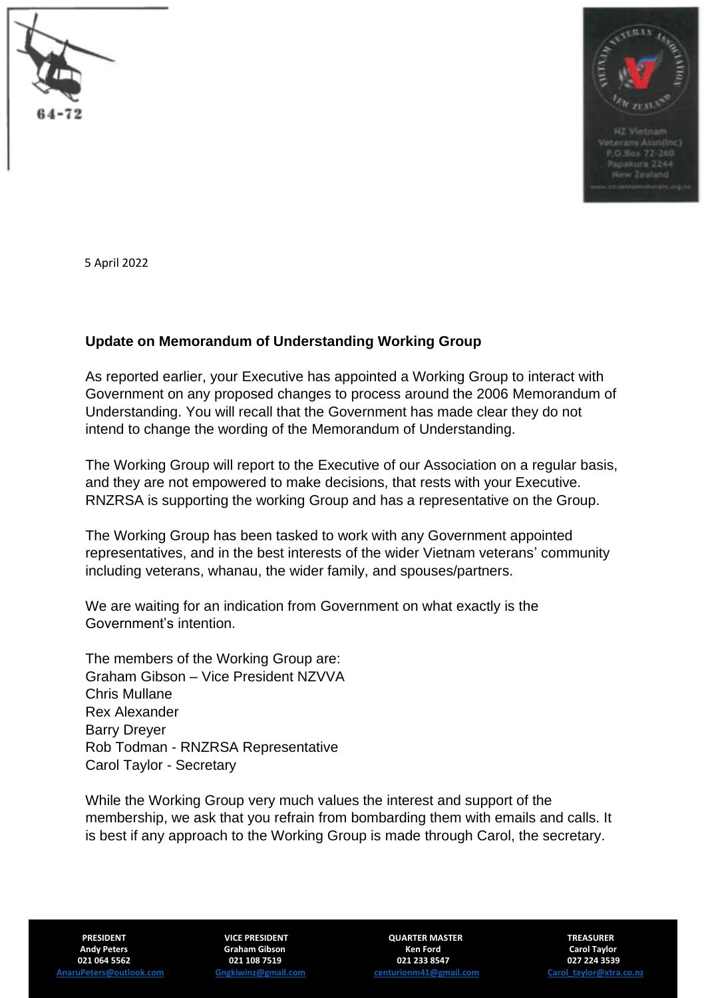



5 April 2022

## **Update on Memorandum of Understanding Working Group**

As reported earlier, your Executive has appointed a Working Group to interact with Government on any proposed changes to process around the 2006 Memorandum of Understanding. You will recall that the Government has made clear they do not intend to change the wording of the Memorandum of Understanding.

The Working Group will report to the Executive of our Association on a regular basis, and they are not empowered to make decisions, that rests with your Executive. RNZRSA is supporting the working Group and has a representative on the Group.

The Working Group has been tasked to work with any Government appointed representatives, and in the best interests of the wider Vietnam veterans' community including veterans, whanau, the wider family, and spouses/partners.

We are waiting for an indication from Government on what exactly is the Government's intention.

The members of the Working Group are: Graham Gibson – Vice President NZVVA Chris Mullane Rex Alexander Barry Dreyer Rob Todman - RNZRSA Representative Carol Taylor - Secretary

While the Working Group very much values the interest and support of the membership, we ask that you refrain from bombarding them with emails and calls. It is best if any approach to the Working Group is made through Carol, the secretary.

 **Andy Peters Graham Gibson Ken Ford Carol Taylor 021 064 5562 021 108 7519 021 233 8547 027 224 3539**

**PRESIDENT CONSUMING TREASURER WAS TREASURER PRESIDENT CONSUMING TREASURER [AnaruPeters@outlook.com](mailto:AnaruPeters@outlook.com) [Gngkiwinz@gmail.com](mailto:Gngkiwinz@gmail.com) [centurionm41@gmail.com](mailto:centurionm41@gmail.com) [Carol\\_taylor@xtra.co.nz](mailto:Carol_taylor@xtra.co.nz)**